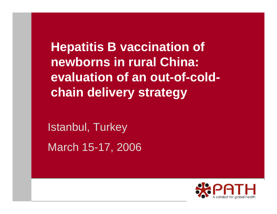**Hepatitis B vaccination of newborns in rural China: evaluation of an out-of-coldchain delivery strategy**

Istanbul, Turkey March 15-17, 2006

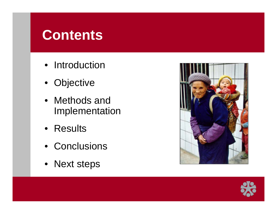## **Contents**

- Introduction
- Objective j
- •Methods and Implementation
- •Results
- •Conclusions
- Next steps



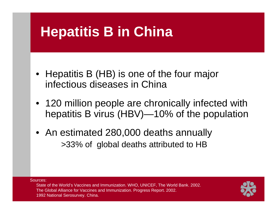# **Hepatitis B in China**

- Hepatitis B (HB) is one of the four major infectious diseases in China
- 120 million people are chronically infected with hepatitis B virus (HBV)—10% of the population
- An estimated 280,000 deaths annually >33% of global deaths attributed to HB

Sources:State of the World's Vaccines and Immunization. WHO, UNICEF, The World Bank. 2002. The Global Alliance for Vaccines and Immunization. Progress R eport. 2002. 1992 National Serosurvey. China.

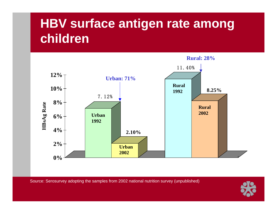## **HBV surface antigen rate among children**



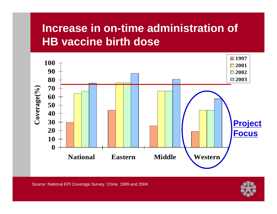### **Increase in on-time administration of HB vaccine birth dose**



Source: National EPI Coverage Survey. China. 1999 and 2004

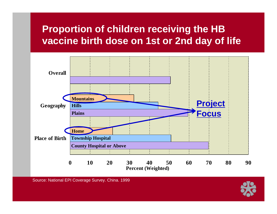#### **Proportion of children receiving the HB vaccine birth dose on 1st or 2nd day of life**



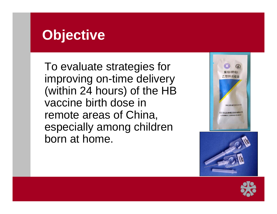## **Objective**

To evaluate strategies for improving on-time delivery (within 24 hours) of the HB vaccine birth dose in remote areas of China, especially among children born at home.





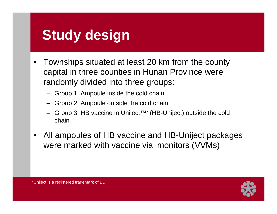# **Study design**

- Townships situated at least 20 km from the county capital in three counties in Hunan Province were randomly divided into three groups:
	- Group 1: Ampoule inside the cold chain
	- –Group 2: Ampoule outside the cold chain
	- –Group 3: HB vaccine in Uniject™\* (HB-Uniject) outside the cold chain
- $\bullet$ All ampoules of HB vaccine and HB-Uniject packages were marked with vaccine vial monitors (VVMs)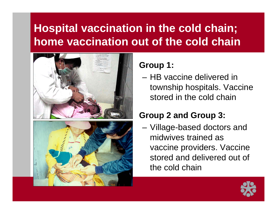### **Hospital vaccination in the cold chain; home vaccination out of the cold chain**



#### **Group 1:**

–HB vaccine delivered in township hospitals. Vaccine stored in the cold chain

#### **Group 2 and Group 3:**

– Village-based doctors and midwives trained as vaccine providers. Vaccine stored and delivered out of the cold chain

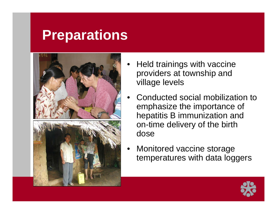## **Preparations**



- •Held trainings with vaccine providers at township and village levels
- •Conducted social mobilization to emphasize the importance of hepatitis B immunization and on-time delivery of the birth dose
- •Monitored vaccine storage temperatures with data loggers

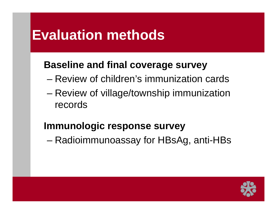## **Evaluation methods**

#### **Baseline and final coverage survey**

- –Review of children's immunization cards
- and the state of the state Review of village/township immunization records

#### **Immunologic response survey**

and the state of the state Radioimmunoassay for HBsAg, anti-HBs

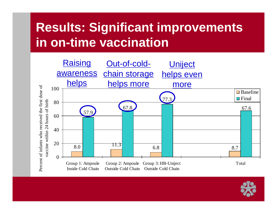### **Results: Significant improvements in on-time vaccination**

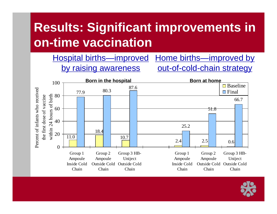## **Results: Significant improvements in on-time vaccination**

Hospital births—improved Home births—improved by by raising awareness out-of-cold-chain strategy



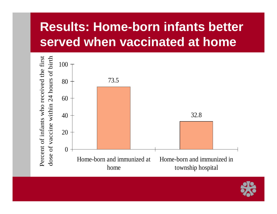## **Results: Home-born infants better served when vaccinated at home**



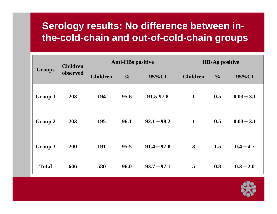#### **Serology results: No difference between inthe-cold-chain and out-of-cold-chain groups**

| <b>Groups</b> | <b>Children</b><br>observed | <b>Anti-HBs positive</b> |               |               | <b>HBsAg positive</b> |               |              |
|---------------|-----------------------------|--------------------------|---------------|---------------|-----------------------|---------------|--------------|
|               |                             | <b>Children</b>          | $\frac{0}{0}$ | 95%CI         | <b>Children</b>       | $\frac{0}{0}$ | 95%CI        |
| Group 1       | 203                         | 194                      | 95.6          | 91.5-97.8     | $\mathbf{1}$          | 0.5           | $0.03 - 3.1$ |
| Group 2       | 203                         | 195                      | 96.1          | $92.1 - 98.2$ | $\mathbf{1}$          | 0.5           | $0.03 - 3.1$ |
| Group 3       | 200                         | 191                      | 95.5          | $91.4 - 97.8$ | $\mathbf{3}$          | 1.5           | $0.4 - 4.7$  |
| <b>Total</b>  | 606                         | 580                      | 96.0          | $93.7 - 97.1$ | 5                     | 0.8           | $0.3 - 2.0$  |

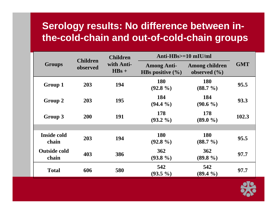#### **Serology results: No difference between inthe-cold-chain and out-of-cold-chain groups**

|                              |                             | <b>Children</b>       | Anti- $HBs$ = 10 mIU/ml                    |                                    |            |
|------------------------------|-----------------------------|-----------------------|--------------------------------------------|------------------------------------|------------|
| <b>Groups</b>                | <b>Children</b><br>observed | with Anti-<br>$HBs +$ | <b>Among Anti-</b><br>HBs positive $(\% )$ | Among children<br>observed $(\% )$ | <b>GMT</b> |
| Group 1                      | 203                         | 194                   | <b>180</b><br>$(92.8\%)$                   | <b>180</b><br>$(88.7\frac{9}{6})$  | 95.5       |
| Group 2                      | 203                         | 195                   | 184<br>$(94.4\% )$                         | 184<br>$(90.6\%)$                  | 93.3       |
| Group 3                      | <b>200</b>                  | 191                   | 178<br>$(93.2\%)$                          | <b>178</b><br>$(89.0\%)$           | 102.3      |
|                              |                             |                       |                                            |                                    |            |
| Inside cold<br>chain         | 203                         | 194                   | <b>180</b><br>$(92.8\%)$                   | <b>180</b><br>$(88.7\frac{9}{6})$  | 95.5       |
| <b>Outside cold</b><br>chain | 403                         | 386                   | <b>362</b><br>$(93.8\%)$                   | 362<br>$(89.8\%)$                  | 97.7       |
| <b>Total</b>                 | 606                         | 580                   | 542<br>$(93.5\%)$                          | 542<br>$(89.4\% )$                 | 97.7       |

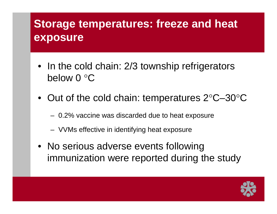### **Storage temperatures: freeze and heat exposure**

- In the cold chain: 2/3 township refrigerators below 0 °C
- Out of the cold chain: temperatures 2°C-30°C
	- 0.2% vaccine was discarded due to heat exposure
	- VVMs effective in identifying heat exposure
- No serious adverse events following immunization were reported during the study

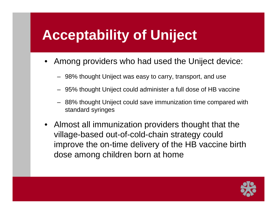# **Acceptability of Uniject**

- •Among providers who had used the Uniject device:
	- 98% thought Uniject was easy to carry, transport, and use
	- 95% thought Uniject could administer a full dose of HB vaccine
	- 88% thought Uniject could save immunization time compared with standard syringes
- Almost all immunization providers thought that the village-based out-of-cold-chain strategy could improve the on-time delivery of the HB vaccine birth dose among children born at home

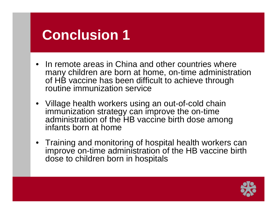# **Conclusion 1**

- In remote areas in China and other countries where many children are born at home, on-time administration of HB vaccine has been difficult to achieve through routine immunization service
- Village health workers using an out-of-cold chain immunization strategy can improve the on-time administration of the HB vaccine birth dose among infants born at home
- Training and monitoring of hospital health workers can improve on-time administration of the HB vaccine birth dose to children born in hospitals

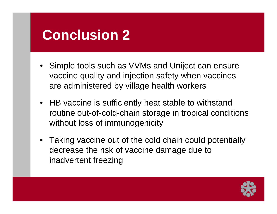# **Conclusion 2**

- •Simple tools such as VVMs and Uniject can ensure vaccine quality and injection safety when vaccines are administered by village health workers
- HB vaccine is sufficiently heat stable to withstand routine out-of-cold-chain storage in tropical conditions without loss of immunogenicity
- Taking vaccine out of the cold chain could potentially decrease the risk of vaccine damage due to inadvertent freezing

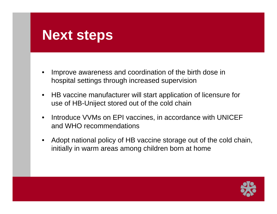## **Next steps**

- • Improve awareness and coordination of the birth dose in hospital settings through increased supervision
- HB vaccine manufacturer will start application of licensure for use of HB-Uniject stored out of the cold chain
- • Introduce VVMs on EPI vaccines, in accordance with UNICEF and WHO recommendations
- • Adopt national policy of HB vaccine storage out of the cold chain, initially in warm areas among children born at home

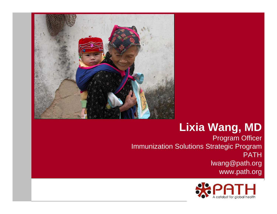

#### **Lixia Wang, MD**

Program Officer Immunization Solutions Strategic Program PATH lwang@path.org www.path.org

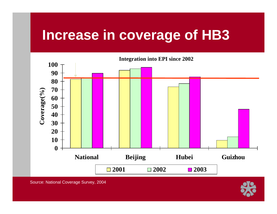## **Increase in coverage of HB3**